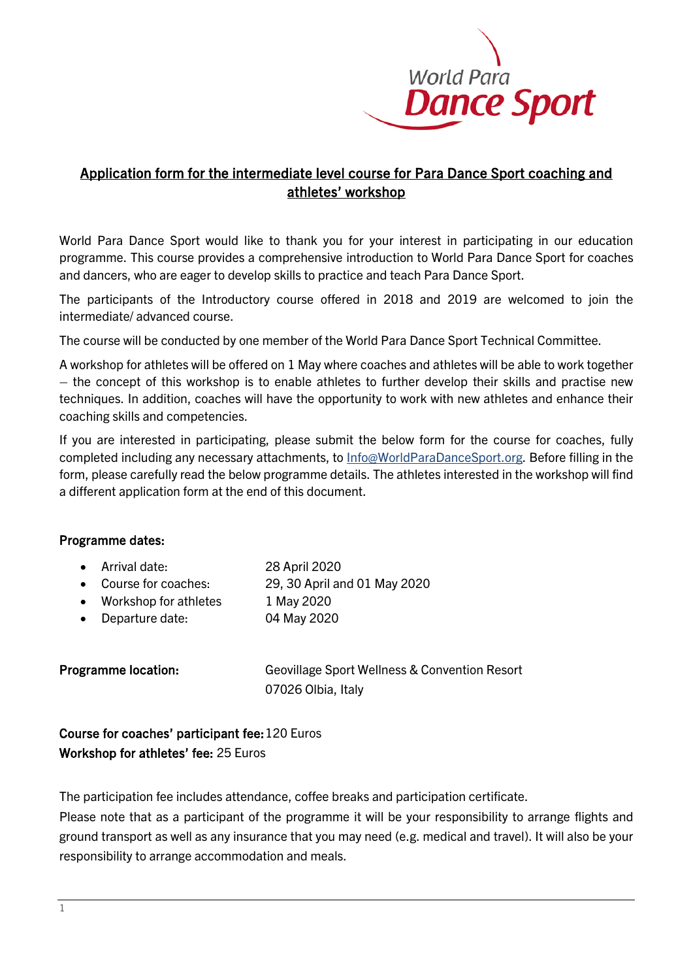

# Application form for the intermediate level course for Para Dance Sport coaching and athletes' workshop

World Para Dance Sport would like to thank you for your interest in participating in our education programme. This course provides a comprehensive introduction to World Para Dance Sport for coaches and dancers, who are eager to develop skills to practice and teach Para Dance Sport.

The participants of the Introductory course offered in 2018 and 2019 are welcomed to join the intermediate/ advanced course.

The course will be conducted by one member of the World Para Dance Sport Technical Committee.

A workshop for athletes will be offered on 1 May where coaches and athletes will be able to work together – the concept of this workshop is to enable athletes to further develop their skills and practise new techniques. In addition, coaches will have the opportunity to work with new athletes and enhance their coaching skills and competencies.

If you are interested in participating, please submit the below form for the course for coaches, fully completed including any necessary attachments, to Info@WorldParaDanceSport.org. Before filling in the form, please carefully read the below programme details. The athletes interested in the workshop will find a different application form at the end of this document.

# Programme dates:

| • Arrival date:         | 28 April 2020                |
|-------------------------|------------------------------|
| Course for coaches:     | 29, 30 April and 01 May 2020 |
| • Workshop for athletes | 1 May 2020                   |
| Departure date:         | 04 May 2020                  |
|                         |                              |
|                         |                              |

Programme location: Geovillage Sport Wellness & Convention Resort 07026 Olbia, Italy

Course for coaches' participant fee: 120 Euros Workshop for athletes' fee: 25 Euros

The participation fee includes attendance, coffee breaks and participation certificate.

Please note that as a participant of the programme it will be your responsibility to arrange flights and ground transport as well as any insurance that you may need (e.g. medical and travel). It will also be your responsibility to arrange accommodation and meals.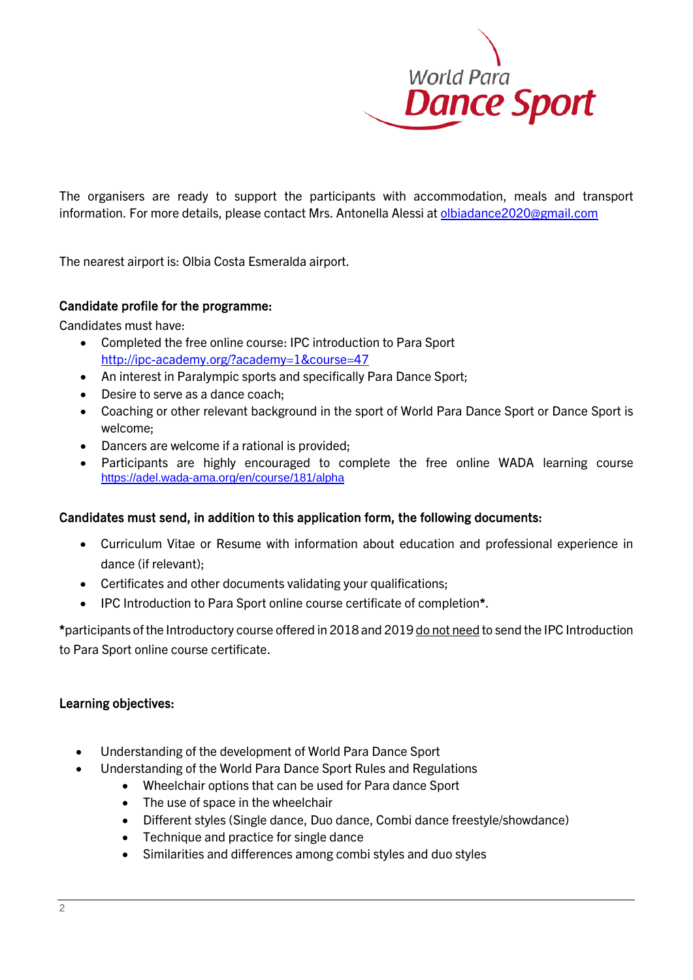

The organisers are ready to support the participants with accommodation, meals and transport information. For more details, please contact Mrs. Antonella Alessi at [olbiadance2020@gmail.com](mailto:olbiadance2020@gmail.com)

The nearest airport is: Olbia Costa Esmeralda airport.

#### Candidate profile for the programme:

Candidates must have:

- Completed the free online course: IPC introduction to Para Sport <http://ipc-academy.org/?academy=1&course=47>
- An interest in Paralympic sports and specifically Para Dance Sport;
- Desire to serve as a dance coach;
- Coaching or other relevant background in the sport of World Para Dance Sport or Dance Sport is welcome;
- Dancers are welcome if a rational is provided;
- Participants are highly encouraged to complete the free online WADA learning course <https://adel.wada-ama.org/en/course/181/alpha>

# Candidates must send, in addition to this application form, the following documents:

- Curriculum Vitae or Resume with information about education and professional experience in dance (if relevant);
- Certificates and other documents validating your qualifications;
- IPC Introduction to Para Sport online course certificate of completion\*.

\*participants of the Introductory course offered in 2018 and 2019 do not need to send the IPC Introduction to Para Sport online course certificate.

#### Learning objectives:

- Understanding of the development of World Para Dance Sport
- Understanding of the World Para Dance Sport Rules and Regulations
	- Wheelchair options that can be used for Para dance Sport
	- The use of space in the wheelchair
	- Different styles (Single dance, Duo dance, Combi dance freestyle/showdance)
	- Technique and practice for single dance
	- Similarities and differences among combi styles and duo styles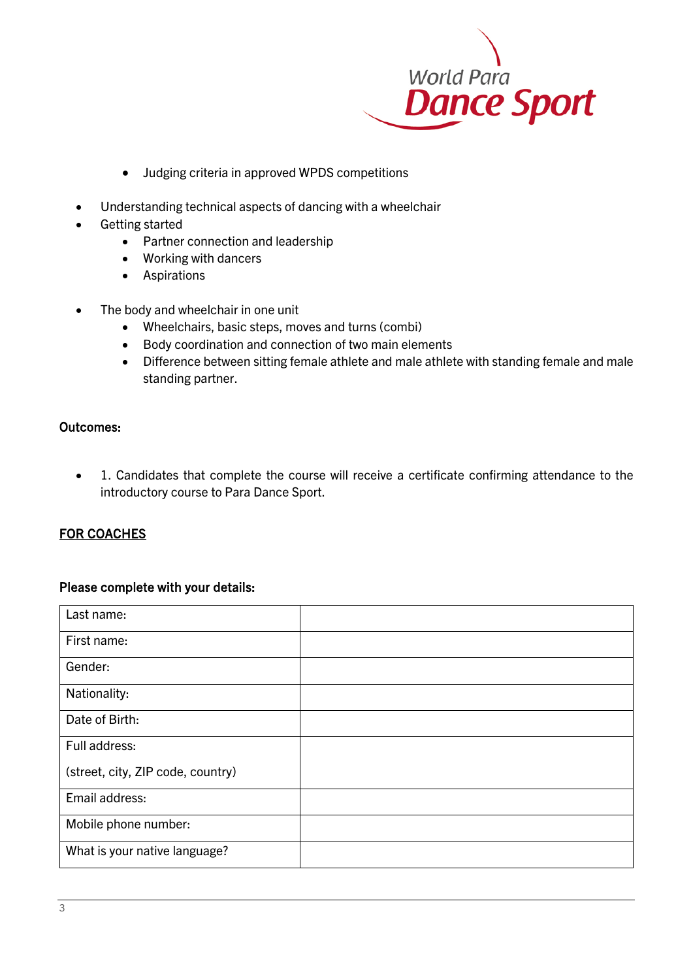

- Judging criteria in approved WPDS competitions
- Understanding technical aspects of dancing with a wheelchair
- Getting started
	- Partner connection and leadership
		- Working with dancers
		- Aspirations
- The body and wheelchair in one unit
	- Wheelchairs, basic steps, moves and turns (combi)
	- Body coordination and connection of two main elements
	- Difference between sitting female athlete and male athlete with standing female and male standing partner.

#### Outcomes:

• 1. Candidates that complete the course will receive a certificate confirming attendance to the introductory course to Para Dance Sport.

# FOR COACHES

#### Please complete with your details:

| Last name:                        |  |
|-----------------------------------|--|
| First name:                       |  |
| Gender:                           |  |
| Nationality:                      |  |
| Date of Birth:                    |  |
| Full address:                     |  |
| (street, city, ZIP code, country) |  |
| Email address:                    |  |
| Mobile phone number:              |  |
| What is your native language?     |  |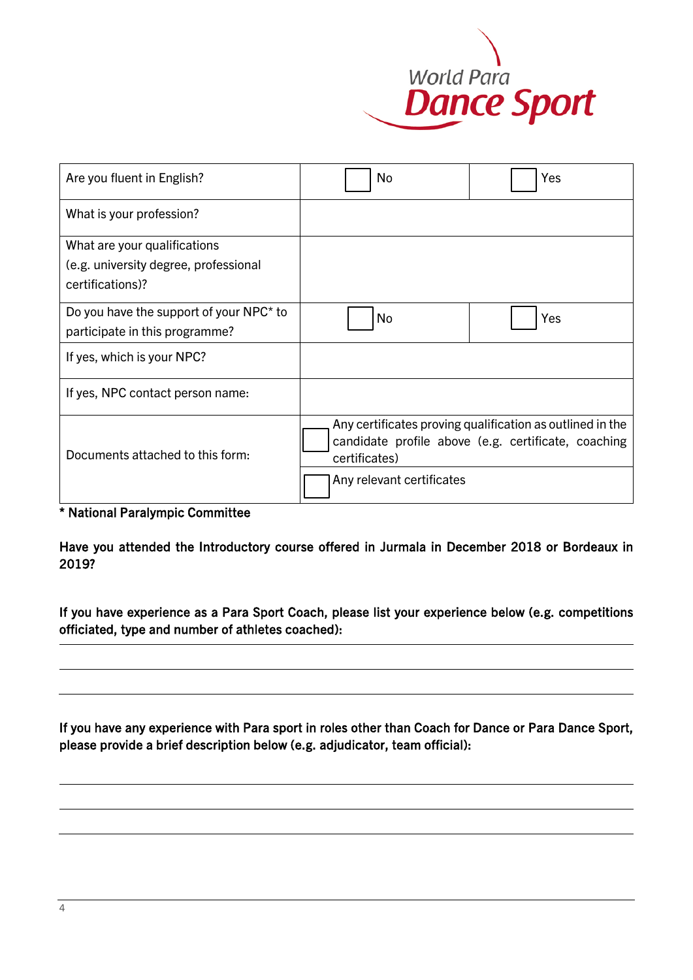

| Are you fluent in English?              | No                        | Yes                                                       |
|-----------------------------------------|---------------------------|-----------------------------------------------------------|
| What is your profession?                |                           |                                                           |
| What are your qualifications            |                           |                                                           |
| (e.g. university degree, professional   |                           |                                                           |
| certifications)?                        |                           |                                                           |
| Do you have the support of your NPC* to | No                        | Yes                                                       |
| participate in this programme?          |                           |                                                           |
| If yes, which is your NPC?              |                           |                                                           |
| If yes, NPC contact person name:        |                           |                                                           |
|                                         |                           | Any certificates proving qualification as outlined in the |
|                                         |                           | candidate profile above (e.g. certificate, coaching       |
| Documents attached to this form:        | certificates)             |                                                           |
|                                         | Any relevant certificates |                                                           |

\* National Paralympic Committee

Have you attended the Introductory course offered in Jurmala in December 2018 or Bordeaux in 2019?

If you have experience as a Para Sport Coach, please list your experience below (e.g. competitions officiated, type and number of athletes coached):

If you have any experience with Para sport in roles other than Coach for Dance or Para Dance Sport, please provide a brief description below (e.g. adjudicator, team official):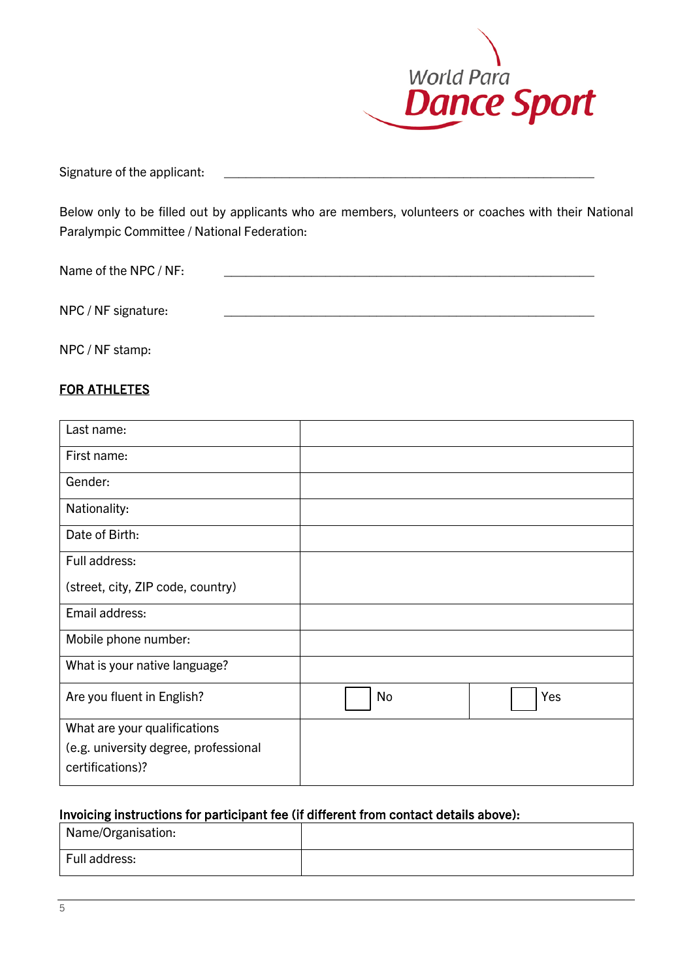

Signature of the applicant:

Below only to be filled out by applicants who are members, volunteers or coaches with their National Paralympic Committee / National Federation:

| Name of the NPC / NF: |  |
|-----------------------|--|
|                       |  |
| NPC / NF signature:   |  |
|                       |  |

NPC / NF stamp:

# FOR ATHLETES

| Last name:                            |    |     |
|---------------------------------------|----|-----|
| First name:                           |    |     |
| Gender:                               |    |     |
| Nationality:                          |    |     |
| Date of Birth:                        |    |     |
| Full address:                         |    |     |
| (street, city, ZIP code, country)     |    |     |
| Email address:                        |    |     |
| Mobile phone number:                  |    |     |
| What is your native language?         |    |     |
| Are you fluent in English?            | No | Yes |
| What are your qualifications          |    |     |
| (e.g. university degree, professional |    |     |
| certifications)?                      |    |     |

# Invoicing instructions for participant fee (if different from contact details above):

| Name/Organisation: |  |
|--------------------|--|
| Full address:      |  |